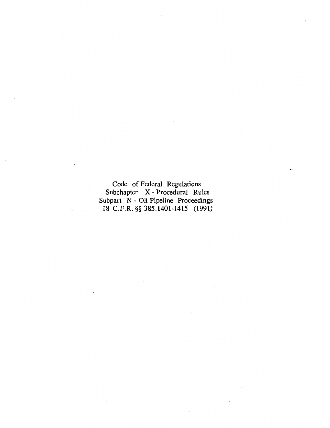Code of Federal Regulations Subchapter X - Procedural Rules Subpart N - Oil Pipeline Proceedings 18 C.F.R. §§ 385.1401-1415 (1991)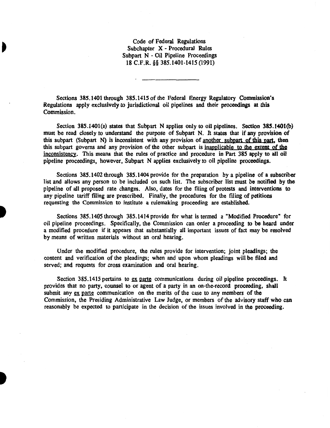Code of Federal Regulations Subchapter X - Procedural Rules Subpart N - Oil Pipeline Proceedings 18 C.F.R. §§ 385.1401-1415 (1991)

Sections 385.1401 through 385.1415 of the Federal Energy Regulatory Commission's Regulations apply exclusively to jurisdictional oil pipelines and their proceedings at this Commission.

Section 385.1401(a) states that Subpart N applies only to oil pipelines. Section 385.1401(b) must be read closely to understand the purpose of Subpart N. It states that if any provision of this subpart (Subpart N) is inconsistent with any provision of another subpart of this part, then this subpart governs and any provision of the other subpart is inapplicable to the extent of the inconsistency. This means that the rules of practice and procedure in Part 385 apply to all oil pipeline proceedings, however, Subpart N applies exclusively to oil pipeline proceedings.

Sections 385.1402 through 385.1404 provide for the preparation by a pipeline of a subscriber list and allows any person to be included on such list. The subscriber list must be notified by the pipeline of all proposed rate changes. Also, dates for the filing of protests and interventions to any pipeline tariff filing are prescribed. Finally, the procedures for the filing of petitions requesting the Commission to institute a rulemaking proceeding· are established.

Sections 385.1405 through 385.1414 provide for what is termed a "Modified Procedure" for oil pipeline proceedings. Specifically, the Commission can order a proceeding to be heard under a modified procedure if it appears that substantially all important issues of fact may be resolved by means of written materials without an oral hearing.

Under the modified procedure, the rules provide for intervention; joint pleadings; the content and verification of the pleadings; when and upon whom pleadings will be filed and served; and requests for cross examination and oral hearing.

Section 385.1415 pertains to  $ex$  parte communications during oil pipeline proceedings. It provides that no party, counsel to or agent of a party in an on-the-record proceeding, shall submit any ex parte communication on the merits of the case to any members of the Commission, the Presiding Administrative Law Judge, or members of the advisory staff who can reasonably be expected to participate in the decision of the issues involved in the proceeding.

I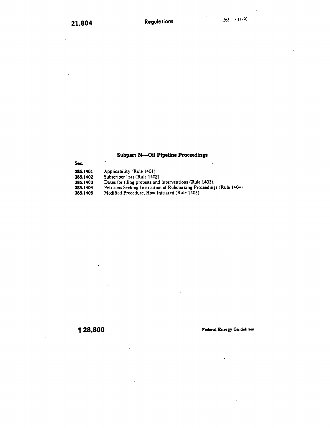# Subpart N-Oil Pipeline Proceedings

| -----    |                               |
|----------|-------------------------------|
| 385.1401 | Applicability (Rule 1401).    |
| 385.1402 | Subscriber lists (Rule 1402). |

- 385.1403 Dates for filing protests and interventions (Rule 1403).
- 385.1404 Petitions Seeking Institution of Rulemaking Proceedings (Rule 14041

385.1405 Modified Procedure, How Initiated (Rule 1405).

~ **28,800** Federal Enercr Guidelinet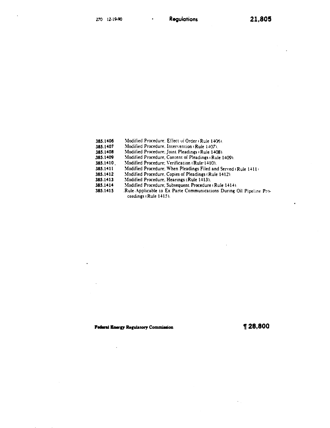270 12-19-90

| 385.1406 |  | Modified Procedure; Effect of Order (Rule 1406). |  |  |  |  |
|----------|--|--------------------------------------------------|--|--|--|--|
|----------|--|--------------------------------------------------|--|--|--|--|

- 385.1407 Modified Procedure. Intervention (Rule 1407).
- 385.1408 Modified Procedure; Joint Pleadings (Rule 1408).
- .385.1409 Modified Procedure; Content of Pleadings (Rule 1409).
- 385.1410. Modified Procedure; Verification (Rule-1410).
- 385.1411 Modified Procedure; When Pleadings Filed and Served 1 Rule 1411•
- 385.1412 Modified Procedure. Copies of Pleadings (Rule 1412).
- 385.1413 Modified Procedure; Hearings (Rule 1413).
- 385.1414 Modified Procedure; Subsequent Procedure (Rule 1414).
- 385.1415 .Rule Applicable to Ex Parte Communications During Oil Pipeline Proceedings (Rule 1415).

# Pederal Baergy Regulatory Commission 17 28,800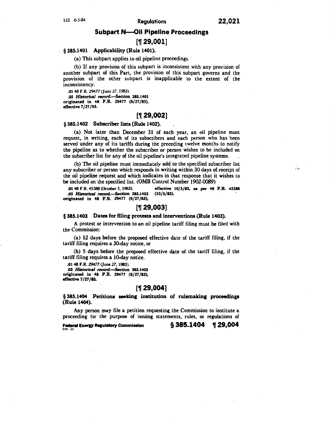*.. :...* 

# Subpart N-Oil Pipeline Proceedings

# [1 29,001]

## § 385.1401 Applicability (Rule 1401);

(a) This subpart applies to oil pipeline proceedings.

(b) If any provision of this subpart is inconsistent with any provision of another subpart of this Part, the provision of this subpart governs and the provision of the other subpart is inapplicable to the extent of the inconsistency .

. 01 48 F.R. 29477 (June 27, 1983) .

*. 05 Historical .rec:ord.-Section* 385.1401 originated in 48 F.R. 29477 (6/27 /83), effective 7/27/83.

## [1 29,002]

#### § 385.1402 Subscriber lists (Rule 1402).

(a) Not later than December 31 of each year, an oil pipeline must request, in writing, each of its subscribers and each person who has been served under any of its tariffs during the preceding twelve months to notify the pipeline as to whether the subscriber or person wishes to be included on the subscriber list for any of the oil pipeline's integrated pipeline systems.

(b) The oil pipeline must immediately add to the specified subscriber list any subscriber or person which responds in writing within 30 days of.receipt of the oil pipeline request and which indicates in that response that it wishes to be included on the specified list. (OMB Control Number 1902-0089)

.01 48 F.R. 45388 (October 5, 1983). effective 10/5/83. as per 48 F.R. 45388<br>.05 Historical record.—Section 385.1402 (10/5/83). .05 *Historical record.*-Section 385.1402 originated in 48 F.R. 29477 (6/27 /83),

## [1[ 29,003]

#### § 385.1403 Dates for filing protests and interventions (Rule 1403).

A protest or intervention to an oil pipeline tariff filing must be filed with the Commission:

(a) 12 days before the proposed effective date of the tariff filing, if the tariff filing requires a 30-day notice, or

(b) 5 days before the proposed effective date of the tariff filing, if the tariff filing requires a 10-day notice.

. 01 48 F.R. 29477 (June 27, 1983) .

.05 *Historical record.*-Section 385.1403 originated in 48 F.R. 29477 (6/27 /83), effective 7/27/83.

## [1[ 29,004]

§ 385.1404 Petitions seeking institution of rulemaking proceedings (Rule 1404).

Any person may file a petition requesting. the Commission to institute a proceeding for the purpose of issuing statements, rules, or regulations of

Federal Energy Regulatory Commission  $\S$  385.1404 129,004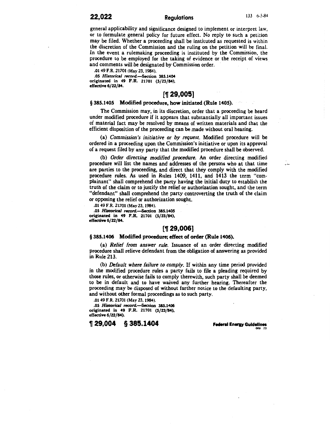# **22,022** Regulations  $133 \t 6.5-84$

بندو

general applicability and significance designed to implement or interpret law, or to formulate general policy for future effect. No reply to such a petition may be filed. Whether a proceeding shall be instituted as requested is within the discretion of the Commission and the ruling on the petition will be final. In the event a rulemaking proceeding is instituted by the Commission, the procedure to be employed for the taking of evidence or the receipt of views and comments will be designated by Commission order .

. 01 49 F.R. 21701 (May 23, 1984) .

.05 *Historical record.*-Section 385.1404 originated in 49 F.R. 21701 (5/23/84), effective 6/22/84.

# $[$  1 29,005]

#### § 385.1405 Modified procedure, how initiated (Rule 1405).

The Commission may, in its discretion, order that a proceeding be heard under modified procedure if it appears that substantially all important issues of material fact may be resolved by means of written materials and that the efficient disposition of the proceeding can be made without oral hearing.

(a) *Commission's initiative or by request.* Modified procedure will be ordered in a proceeding upon the Commission's initiative or upon its approval of a request filed by any party that the modified procedure shall be observed.

(b) *Order directing modified procedure.* An order directing modified procedure will list the names and addresses of the persons who at that time are parties to the proceeding, and direct that they comply with the modified procedure rules. As used in Rules 1409, 1411, and 1413 the term "complainant" shall comprehend the party having the initial duty to establish the truth of the claim or to justify the relief or authorization sought, and the term "defendant" shall comprehend the party controverting the truth of the claim or opposing the relief or authorization sought.

.01 49 F.R. 21701 (May 23, 1984) .

.05 *Historical record.*-Section 385.1405 originated in 49 F.R. 21701 (5/23/84), effective 6/22/84.

## [¶ 29,006]

#### § 385.1406 Modified procedure; effect of order (Rule 1406).

(a) *Relief from answer rule.* Issuance of an order directing modified procedure shall relieve defendant from the obligation of answering as provided in Rule 213.

(b) *Default where failure to comply.* If within any time period provided in the modified procedure rules a party fails to file a pleading required by those rules, or otherwise fails to comply therewith, such party shall be deemed to be in default and to have waived any further hearing. Thereafter the proceeding may be disposed of without further notice to the defaulting party, and without other formal proceedings as to such party.

. 01 49 F.R. 21701 (May 23, 1984) .

.05 *Historical record.*-Section 385.1406 originated in 49 F.R. 21701 (5/23/84), effective 6/22/84).

 $\frac{1}{29,004}$   $\frac{1}{9,385.1404}$  Federal Energy Guidelines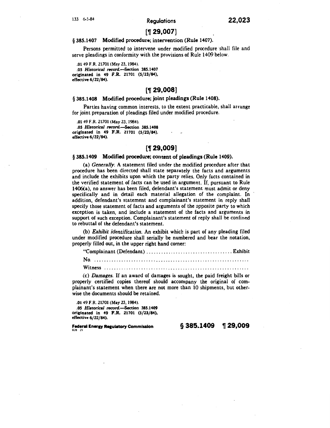## $[$  1 29,007 $]$

#### § 385.1407 Modified procedure; intervention (Rule 1407).

Persons permitted to intervene under modified procedure shall file and serve pleadings in conformity with the provisions of Rule 1409 below .

. 01 49 F.R. 21701 (May 23, 1984) . .05 Historical record.-Section 385.1407 originated in 49 F.R. 21701 (5/23/84), effective 6/22/84).

# $[$  1 29,008]

## § 385.1408 Modified procedure; joint pleadings (Rule 1408).

Parties having common interests, to the extent practicable, shall arrange for joint preparation of pleadings filed under modified procedure.

. 01 49 F.R. 21701 (May 23, 1984) .

.05 *Historical record.*-Section 385.1408 originated in 49 F.R. 21701 (5/23/84), effective 6/22/84).

# [1 29,009]

#### § 385.1409 Modified procedure; content of pleadings (Rule 1409).

(a) *Generally.* A statement filed under the modified procedure after that procedure has been directed shall state separately the facts and arguments and include the exhibits upon which the party relies. Only facts contained in the verified statement of facts can be used in argument. If, pursuant to Rule 1406(a), no answer has been filed, defendant's statement must admit or deny specifically and in detail each material allegation of the complaint. In addition, defendant's statement and complainant's statement in reply shall specify those statement of facts and arguments of the opposite party to which exception is taken, and include a statement of the facts and arguments in support of such exception. Complainant's statement of reply shall be confined to rebuttal of the defendant's statement.

(b) *Exhibit identification.* An exhibit which is part of any pleading filed under modified procedure shall serially be numbered and bear the notation, properly filled out, in the upper right hand corner:

"Complainant (Defendant) ................................... Exhibit

No ............................................................... .

Witness .......................................................... .

(c) *Damages.* If an award of damages is sought, the paid freight bills or properly certified copies thereof should accompany the original of complainant's statement when there are not more than 10 shipments, but otherwise the documents should be retained.

. 01 49 F.R. 21701 (May 23, 1984) .

.05 *Historical record.*-Section 385.1409 originated in 49 F.R. 21701 (5/23/84), effective 6/22/84).

Federal Energy Regulatory Commission

§ 385.1409 ~ 29,009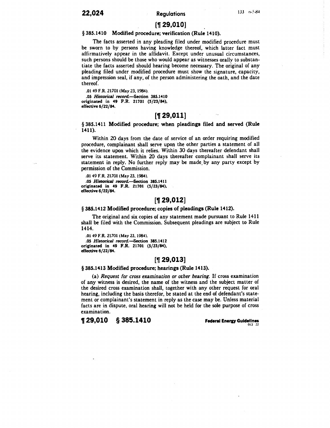## 22,024 Regulations

## $[$  1 29,010]

## § 385.1410 Modified procedure; verification (Rule 1410).

The facts asserted in any pleading filed under modified procedure must be sworn to by persons having knowledge thereof, which latter fact must affirmatively appear in the affidavit. Except under unusual circumstances, such persons should be those who would appear as witnesses orally to substantiate the facts asserted should hearing become necessary. The original of any pleading filed under modified procedure must show the signature, capacity, and impression seal, if any, of the person administering the oath, and the date thereof.

.01 49 F.R. 21701 (May 23, 1984) . • OS *Historical record.-Section* 38S.1410 originated in 49 F.R. 21701 (S/23/84), effective 6/22/84.

## $[$  1 29,011]

§ 385.1411 Modified procedure; when pleadings filed and served (Rule 1411).

Within 20 days from the date of service of an order requiring modified procedure, complainant shall serve upon the other parties a statement of all the evidence upon which it relies. Within 30 days thereafter defendant shall serve its statement. Within 20 days thereafter complainant shall serve its statement in reply. No further reply may be made. by any party except by permission of the Commission.

. 01 49 F.R. 21701 (May 23, 1984) . • OS *Historical* record.-8ection 38S.1411 originated in 49 F.R. 21701 (S/23/84), effective 6/22/84.

# [1 29,012]

### § 385.1412 Modified procedure; copies of pleadings (Rule 1412).

The original and six copies of any statement made pursuant to Rule 1411 shall be filed with the Commission. Subsequent pleadings are subject to Rule 1414.

. 01 49 F.R. 21701 (May 23, 1984) . .05 *Historical record.*-Section 385.1412 originated in 49 F.R. 21701 (S/23/84), effective 6/22/84.

#### $[$  1 29,013]

#### § 385.1413 Modified procedure; hearings (Rule 1413).

(a) *Request for cross examination or other hearing.* If cross examination of any witness is desired, the name of the witness and the subject matter of the desired cross examination shall, together with any other request for oral hearing, including the basis therefor, be stated at the end of defendant's statement or complainant's statement in reply as the case may be. Unless material facts are in dispute, oral hearing will not be held for the sole purpose of cross examination.

1f 29,010 § 385.1410 Feden11 Eneru Guidelines o13 *<sup>n</sup>*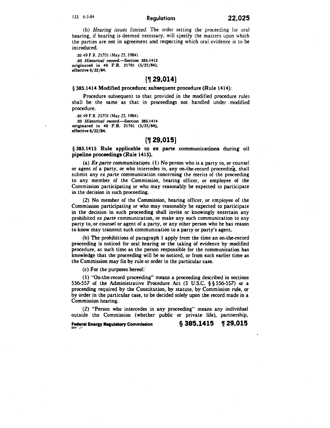# 133 6-5-84 Regulations

(b) *Hearing issues limited.* The order setting the proceeding for oral hearing, if hearing is deemed necessary, will specify the matters upon which the parties are not in agreement and respecting which oral evidence is to be introduced.

. 01 49 F.R. 21701 (May 23, 1984) . *. OS Historical* reocord.-Section 38S.1413 originated in 49 F.R. 21701 (S/23/84}, effective 6/22/84.

# $[$  1 29,014 $]$

## § 385.1414 Modified procedure; subsequent procedure (Rule 1414):

Procedure subsequent to that provided in the modified procedure rules shall be the same as that in proceedings not handled under . modified procedure .

. 01 49 F.R. 21701 (May 23, 1984) . .05 Historical record.-Section 385.1414 originated in 49 F.R. 21701 (S/23/84), effective 6/22/84.

# $[$  1 29,015 $]$

§ 385.1415 Rule applicable to ex parte communications during oil pipeline proceedings (Rule 1415).

(a) *Ex parte communications.* (1) No person who is a party to, or counsel or agent of a party, or who intercedes in, any on-the-record proceeding, shall submit any *ex parte* communication concerning the merits of the proceeding to any member of the Commission, hearing officer, or employee of the Commission participating or who may reasonably be expected to participate in the decision in such proceeding.

(2) No member of the Commission, hearing officer, or employee of the Commission participating or who may reasonably be expected to participate in the decision in such proceeding shall invite or knowingly entertain any prohibited *ex parte* communication, or make any such communication to any party to, or counsel or agent of a party, or any other person who he has reason to know may transmit such communication to a party or party's agent.

(b) The prohibitions of paragraph 1 apply from the time an on-the-record proceeding is noticed for oral hearing or the taking of evidence by modified procedure, at such time as the person responsible for the communication has knowledge that the proceeding will be so noticed, or from such earlier time as the Commission may fix by rule or order in the particular case.

(c) For the purposes hereof:·

(1) "On-the-record proceeding" means a proceeding described in sections 556-557 of the Administrative Procedure Act (5 U.S.C. § § 556-557) or a proceeding required by the Constitution, by statute, by Commission rule, or by order in the particular case, to be decided solely upon the record made in a Commission hearing.

(2) "Person who intercedes in any proceeding" means any individual outside the Commission (whether public or private life), partnership,

Federal Energy Regulatory Commission  $\S 385.1415 \quad \text{\textdegree{\textcolor{red}{1}}} 29,015$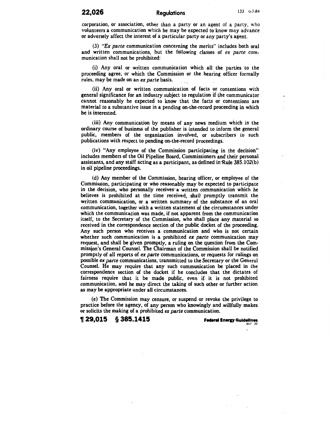# **22,026** Requlations 133 6-5-84

corporation, or association, other than a party or an agent of a party, who volunteers a communication which he may be expected to know may advance or adversely affect the interest of a particular party or any party's agent.

(3) *"Ex parte* communication concerning the merits" includes both oral and written communications, but the following classes of *ex parte* communication shall not be prohibited:

(i) Any oral or written communication which· all· the parties to the proceeding agree, or which the Commission or the hearing officer formally rules, may be made on an *ex parte* basis.

(ii) Any oral or written communication of facts or contentions with general significance for an industry subject-to regulation if the communicator cannot reasonably be expected to know that the facts or contentions are material to a substantive issue in a pending on-the-record proceeding in which he is interested.

(iii) Any communication by means of any news medium which in the ordinary course of business of the publisher is intended to inform the general public, members of the organization involved, or subscribers to such publications with respect to pending on-the-record proceedings.

(iv) "Any employee of the Commission participating in the decision" includes members of the Oil Pipeline Board, Commissioners and their personal assistants, and any staff acting as a participant, as defined in·Rule 385.102(b) in oil pipeline proceedings.

(d) Any member of the Commission, hearing officer, or employee of the Commission, participating or who reasonably may be expected to participate in the decision, who personally receives·a written communication which he believes is prohibited at the time received, shall promptly transmit the written communication, or a written summary of the substance of an oral communication, together with a written statement of the circumstances under which the communication was made, if not apparent from the communication itself, to the Secretary of the Commission, who shall place any material so received in the correspondence section of the public docket of the proceeding. Any such person who receives a communication and who is not certain whether such communication is a prohibited *ex parte* communication may request, and shall be given promptly, a ruling on the question from the Commission's General Counsel. The Chairman of the Commission shall be notified promptly of all reports of *ex parte* communications, or requests for rulings on possible *ex parte* communications, transmitted to the Secretary or the General Counsel. He may require that any such communication be ·placed in the correspondence section of the docket if he concludes that the dictates of fairness require that it be made public, even if. it is not prohibited communication, and he may direct the taking of such other or further action as may be appropriate under all circumstances.

(e) The Commission may censure, or suspend or revoke the privilege to practice before the agency, of any person who knowingly and willfully makes or solicits the making of a prohibited *ex parte* communication.

 $\frac{1}{29,015}$   $\frac{1385.1415}{110}$  Federal Energy Guidelines